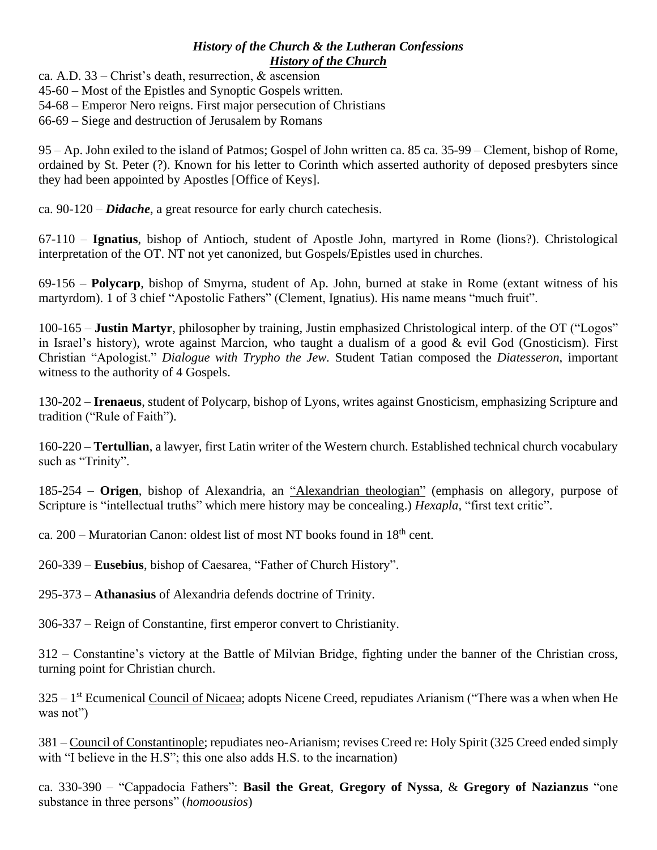## *History of the Church & the Lutheran Confessions History of the Church*

ca. A.D. 33 – Christ's death, resurrection, & ascension

45-60 – Most of the Epistles and Synoptic Gospels written.

54-68 – Emperor Nero reigns. First major persecution of Christians

66-69 – Siege and destruction of Jerusalem by Romans

95 – Ap. John exiled to the island of Patmos; Gospel of John written ca. 85 ca. 35-99 – Clement, bishop of Rome, ordained by St. Peter (?). Known for his letter to Corinth which asserted authority of deposed presbyters since they had been appointed by Apostles [Office of Keys].

ca. 90-120 – *Didache*, a great resource for early church catechesis.

67-110 – **Ignatius**, bishop of Antioch, student of Apostle John, martyred in Rome (lions?). Christological interpretation of the OT. NT not yet canonized, but Gospels/Epistles used in churches.

69-156 – **Polycarp**, bishop of Smyrna, student of Ap. John, burned at stake in Rome (extant witness of his martyrdom). 1 of 3 chief "Apostolic Fathers" (Clement, Ignatius). His name means "much fruit".

100-165 – **Justin Martyr**, philosopher by training, Justin emphasized Christological interp. of the OT ("Logos" in Israel's history), wrote against Marcion, who taught a dualism of a good & evil God (Gnosticism). First Christian "Apologist." *Dialogue with Trypho the Jew.* Student Tatian composed the *Diatesseron*, important witness to the authority of 4 Gospels.

130-202 – **Irenaeus**, student of Polycarp, bishop of Lyons, writes against Gnosticism, emphasizing Scripture and tradition ("Rule of Faith").

160-220 – **Tertullian**, a lawyer, first Latin writer of the Western church. Established technical church vocabulary such as "Trinity".

185-254 – **Origen**, bishop of Alexandria, an "Alexandrian theologian" (emphasis on allegory, purpose of Scripture is "intellectual truths" which mere history may be concealing.) *Hexapla*, "first text critic".

ca.  $200$  – Muratorian Canon: oldest list of most NT books found in  $18<sup>th</sup>$  cent.

260-339 – **Eusebius**, bishop of Caesarea, "Father of Church History".

295-373 – **Athanasius** of Alexandria defends doctrine of Trinity.

306-337 – Reign of Constantine, first emperor convert to Christianity.

312 – Constantine's victory at the Battle of Milvian Bridge, fighting under the banner of the Christian cross, turning point for Christian church.

325 – 1<sup>st</sup> Ecumenical Council of Nicaea; adopts Nicene Creed, repudiates Arianism ("There was a when when He was not")

381 – Council of Constantinople; repudiates neo-Arianism; revises Creed re: Holy Spirit (325 Creed ended simply with "I believe in the H.S"; this one also adds H.S. to the incarnation)

ca. 330-390 – "Cappadocia Fathers": **Basil the Great**, **Gregory of Nyssa**, & **Gregory of Nazianzus** "one substance in three persons" (*homoousios*)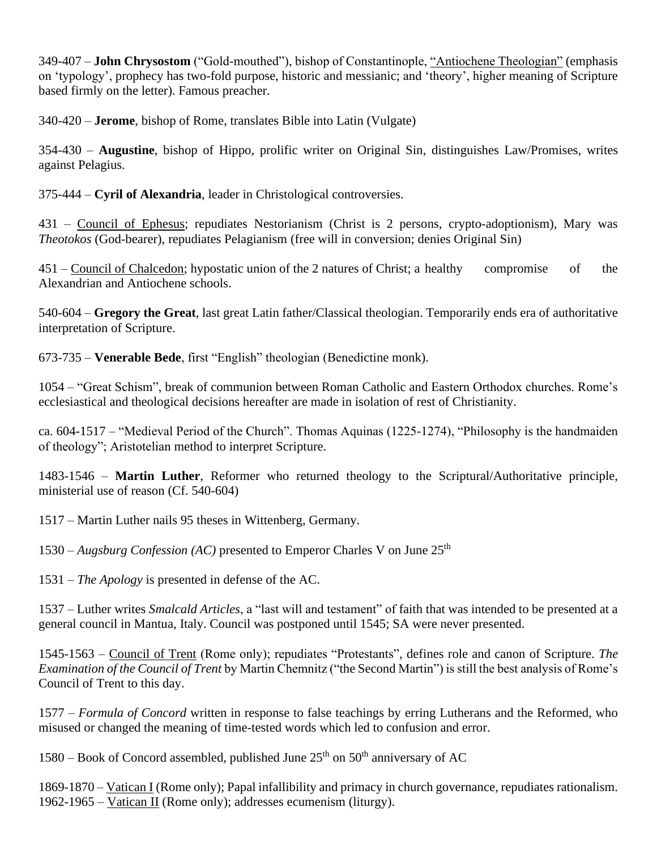349-407 – **John Chrysostom** ("Gold-mouthed"), bishop of Constantinople, "Antiochene Theologian" (emphasis on 'typology', prophecy has two-fold purpose, historic and messianic; and 'theory', higher meaning of Scripture based firmly on the letter). Famous preacher.

340-420 – **Jerome**, bishop of Rome, translates Bible into Latin (Vulgate)

354-430 – **Augustine**, bishop of Hippo, prolific writer on Original Sin, distinguishes Law/Promises, writes against Pelagius.

375-444 – **Cyril of Alexandria**, leader in Christological controversies.

431 – Council of Ephesus; repudiates Nestorianism (Christ is 2 persons, crypto-adoptionism), Mary was *Theotokos* (God-bearer), repudiates Pelagianism (free will in conversion; denies Original Sin)

451 – Council of Chalcedon; hypostatic union of the 2 natures of Christ; a healthy compromise of the Alexandrian and Antiochene schools.

540-604 – **Gregory the Great**, last great Latin father/Classical theologian. Temporarily ends era of authoritative interpretation of Scripture.

673-735 – **Venerable Bede**, first "English" theologian (Benedictine monk).

1054 – "Great Schism", break of communion between Roman Catholic and Eastern Orthodox churches. Rome's ecclesiastical and theological decisions hereafter are made in isolation of rest of Christianity.

ca. 604-1517 – "Medieval Period of the Church". Thomas Aquinas (1225-1274), "Philosophy is the handmaiden of theology"; Aristotelian method to interpret Scripture.

1483-1546 – **Martin Luther**, Reformer who returned theology to the Scriptural/Authoritative principle, ministerial use of reason (Cf. 540-604)

1517 – Martin Luther nails 95 theses in Wittenberg, Germany.

1530 – *Augsburg Confession (AC)* presented to Emperor Charles V on June 25th

1531 – *The Apology* is presented in defense of the AC.

1537 – Luther writes *Smalcald Articles*, a "last will and testament" of faith that was intended to be presented at a general council in Mantua, Italy. Council was postponed until 1545; SA were never presented.

1545-1563 – Council of Trent (Rome only); repudiates "Protestants", defines role and canon of Scripture. *The Examination of the Council of Trent* by Martin Chemnitz ("the Second Martin") is still the best analysis of Rome's Council of Trent to this day.

1577 – *Formula of Concord* written in response to false teachings by erring Lutherans and the Reformed, who misused or changed the meaning of time-tested words which led to confusion and error.

1580 – Book of Concord assembled, published June  $25<sup>th</sup>$  on  $50<sup>th</sup>$  anniversary of AC

1869-1870 – Vatican I (Rome only); Papal infallibility and primacy in church governance, repudiates rationalism. 1962-1965 – Vatican II (Rome only); addresses ecumenism (liturgy).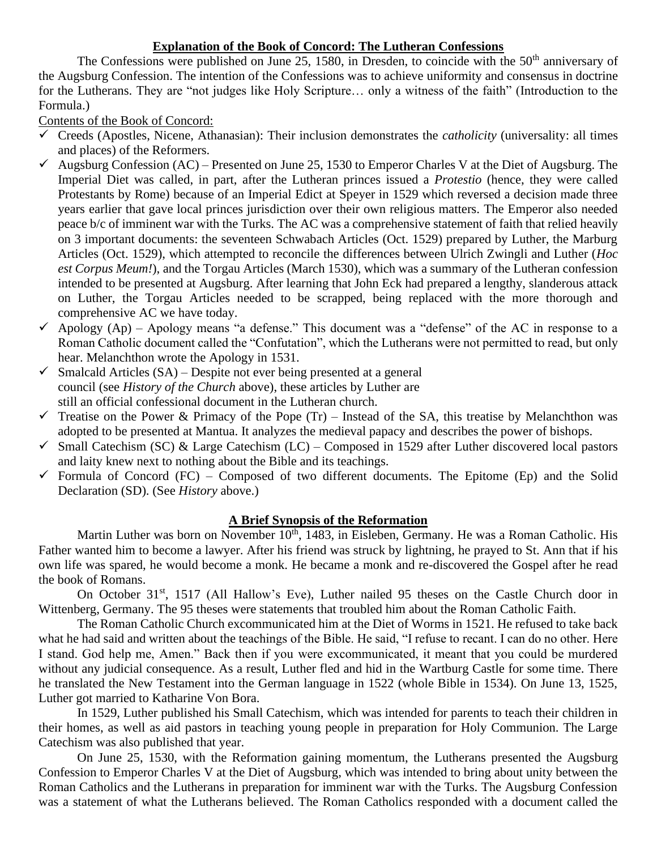## **Explanation of the Book of Concord: The Lutheran Confessions**

The Confessions were published on June 25, 1580, in Dresden, to coincide with the  $50<sup>th</sup>$  anniversary of the Augsburg Confession. The intention of the Confessions was to achieve uniformity and consensus in doctrine for the Lutherans. They are "not judges like Holy Scripture… only a witness of the faith" (Introduction to the Formula.)

Contents of the Book of Concord:

- $\checkmark$  Creeds (Apostles, Nicene, Athanasian): Their inclusion demonstrates the *catholicity* (universality: all times and places) of the Reformers.
- $\checkmark$  Augsburg Confession (AC) Presented on June 25, 1530 to Emperor Charles V at the Diet of Augsburg. The Imperial Diet was called, in part, after the Lutheran princes issued a *Protestio* (hence, they were called Protestants by Rome) because of an Imperial Edict at Speyer in 1529 which reversed a decision made three years earlier that gave local princes jurisdiction over their own religious matters. The Emperor also needed peace b/c of imminent war with the Turks. The AC was a comprehensive statement of faith that relied heavily on 3 important documents: the seventeen Schwabach Articles (Oct. 1529) prepared by Luther, the Marburg Articles (Oct. 1529), which attempted to reconcile the differences between Ulrich Zwingli and Luther (*Hoc est Corpus Meum!*), and the Torgau Articles (March 1530), which was a summary of the Lutheran confession intended to be presented at Augsburg. After learning that John Eck had prepared a lengthy, slanderous attack on Luther, the Torgau Articles needed to be scrapped, being replaced with the more thorough and comprehensive AC we have today.
- $\checkmark$  Apology (Ap) Apology means "a defense." This document was a "defense" of the AC in response to a Roman Catholic document called the "Confutation", which the Lutherans were not permitted to read, but only hear. Melanchthon wrote the Apology in 1531.
- $\checkmark$  Smalcald Articles (SA) Despite not ever being presented at a general council (see *History of the Church* above), these articles by Luther are still an official confessional document in the Lutheran church.
- $\checkmark$  Treatise on the Power & Primacy of the Pope (Tr) Instead of the SA, this treatise by Melanchthon was adopted to be presented at Mantua. It analyzes the medieval papacy and describes the power of bishops.
- $\checkmark$  Small Catechism (SC) & Large Catechism (LC) Composed in 1529 after Luther discovered local pastors and laity knew next to nothing about the Bible and its teachings.
- $\checkmark$  Formula of Concord (FC) Composed of two different documents. The Epitome (Ep) and the Solid Declaration (SD). (See *History* above.)

## **A Brief Synopsis of the Reformation**

Martin Luther was born on November 10<sup>th</sup>, 1483, in Eisleben, Germany. He was a Roman Catholic. His Father wanted him to become a lawyer. After his friend was struck by lightning, he prayed to St. Ann that if his own life was spared, he would become a monk. He became a monk and re-discovered the Gospel after he read the book of Romans.

On October 31<sup>st</sup>, 1517 (All Hallow's Eve), Luther nailed 95 theses on the Castle Church door in Wittenberg, Germany. The 95 theses were statements that troubled him about the Roman Catholic Faith.

The Roman Catholic Church excommunicated him at the Diet of Worms in 1521. He refused to take back what he had said and written about the teachings of the Bible. He said, "I refuse to recant. I can do no other. Here I stand. God help me, Amen." Back then if you were excommunicated, it meant that you could be murdered without any judicial consequence. As a result, Luther fled and hid in the Wartburg Castle for some time. There he translated the New Testament into the German language in 1522 (whole Bible in 1534). On June 13, 1525, Luther got married to Katharine Von Bora.

In 1529, Luther published his Small Catechism, which was intended for parents to teach their children in their homes, as well as aid pastors in teaching young people in preparation for Holy Communion. The Large Catechism was also published that year.

On June 25, 1530, with the Reformation gaining momentum, the Lutherans presented the Augsburg Confession to Emperor Charles V at the Diet of Augsburg, which was intended to bring about unity between the Roman Catholics and the Lutherans in preparation for imminent war with the Turks. The Augsburg Confession was a statement of what the Lutherans believed. The Roman Catholics responded with a document called the